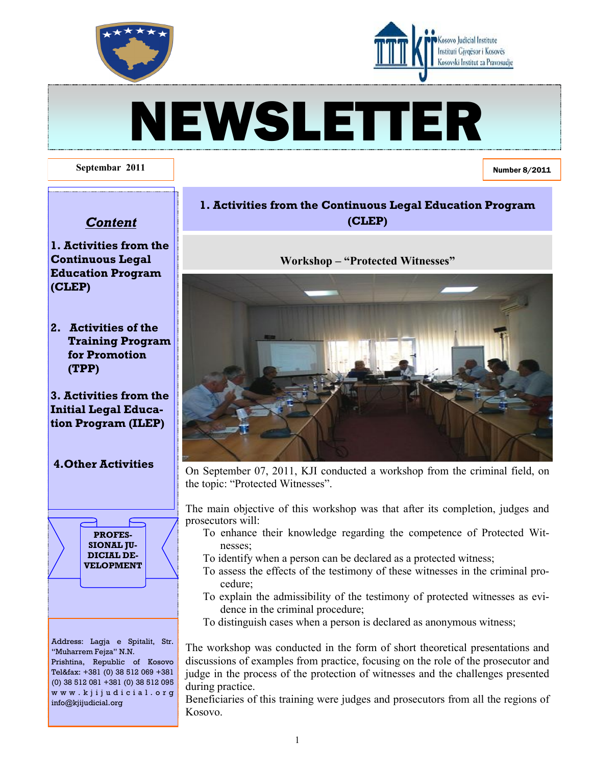



# NEWSLETTER

#### **Septembar 2011**

Number 8/2011

# *Content*

- **1. Activities from the Continuous Legal Education Program (CLEP)**
- **2. Activities of the Training Program for Promotion (TPP)**
- **3. Activities from the Initial Legal Education Program (ILEP)**

#### **4.Other Activities**



Address: Lagja e Spitalit, Str. "Muharrem Fejza" N.N. Prishtina, Republic of Kosovo Tel&fax: +381 (0) 38 512 069 +381 (0) 38 512 081 +381 (0) 38 512 095 w w w . k j i j u d i c i a l . o r g info@kjijudicial.org

# **1. Activities from the Continuous Legal Education Program (CLEP)**

**Workshop – "Protected Witnesses"**



On September 07, 2011, KJI conducted a workshop from the criminal field, on the topic: "Protected Witnesses".

The main objective of this workshop was that after its completion, judges and prosecutors will:

- To enhance their knowledge regarding the competence of Protected Witnesses;
- To identify when a person can be declared as a protected witness;
- To assess the effects of the testimony of these witnesses in the criminal procedure;
- To explain the admissibility of the testimony of protected witnesses as evidence in the criminal procedure;
- To distinguish cases when a person is declared as anonymous witness;

The workshop was conducted in the form of short theoretical presentations and discussions of examples from practice, focusing on the role of the prosecutor and judge in the process of the protection of witnesses and the challenges presented during practice.

Beneficiaries of this training were judges and prosecutors from all the regions of Kosovo.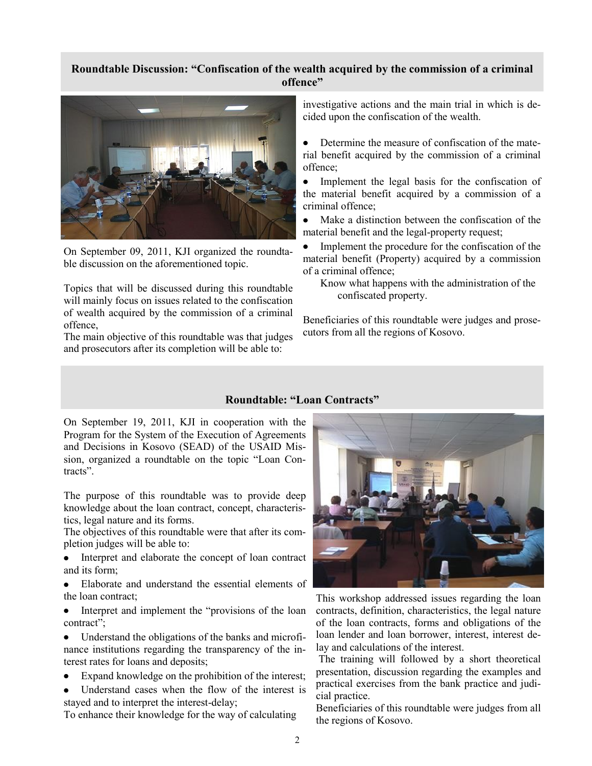#### **Roundtable Discussion: "Confiscation of the wealth acquired by the commission of a criminal offence"**



On September 09, 2011, KJI organized the roundtable discussion on the aforementioned topic.

Topics that will be discussed during this roundtable will mainly focus on issues related to the confiscation of wealth acquired by the commission of a criminal offence,

The main objective of this roundtable was that judges and prosecutors after its completion will be able to:

investigative actions and the main trial in which is decided upon the confiscation of the wealth.

 $\bullet$ Determine the measure of confiscation of the material benefit acquired by the commission of a criminal offence;

Implement the legal basis for the confiscation of  $\bullet$ the material benefit acquired by a commission of a criminal offence;

 $\bullet$ Make a distinction between the confiscation of the material benefit and the legal-property request;

Implement the procedure for the confiscation of the material benefit (Property) acquired by a commission of a criminal offence;

Know what happens with the administration of the confiscated property.

Beneficiaries of this roundtable were judges and prosecutors from all the regions of Kosovo.

#### **Roundtable: "Loan Contracts"**

On September 19, 2011, KJI in cooperation with the Program for the System of the Execution of Agreements and Decisions in Kosovo (SEAD) of the USAID Mission, organized a roundtable on the topic "Loan Contracts".

The purpose of this roundtable was to provide deep knowledge about the loan contract, concept, characteristics, legal nature and its forms.

The objectives of this roundtable were that after its completion judges will be able to:

- $\bullet$ Interpret and elaborate the concept of loan contract and its form;
- Elaborate and understand the essential elements of the loan contract;
- $\bullet$ Interpret and implement the "provisions of the loan contract";

 $\bullet$ Understand the obligations of the banks and microfinance institutions regarding the transparency of the interest rates for loans and deposits;

Expand knowledge on the prohibition of the interest;

Understand cases when the flow of the interest is  $\bullet$ stayed and to interpret the interest-delay;

To enhance their knowledge for the way of calculating



This workshop addressed issues regarding the loan contracts, definition, characteristics, the legal nature of the loan contracts, forms and obligations of the loan lender and loan borrower, interest, interest delay and calculations of the interest.

The training will followed by a short theoretical presentation, discussion regarding the examples and practical exercises from the bank practice and judicial practice.

Beneficiaries of this roundtable were judges from all the regions of Kosovo.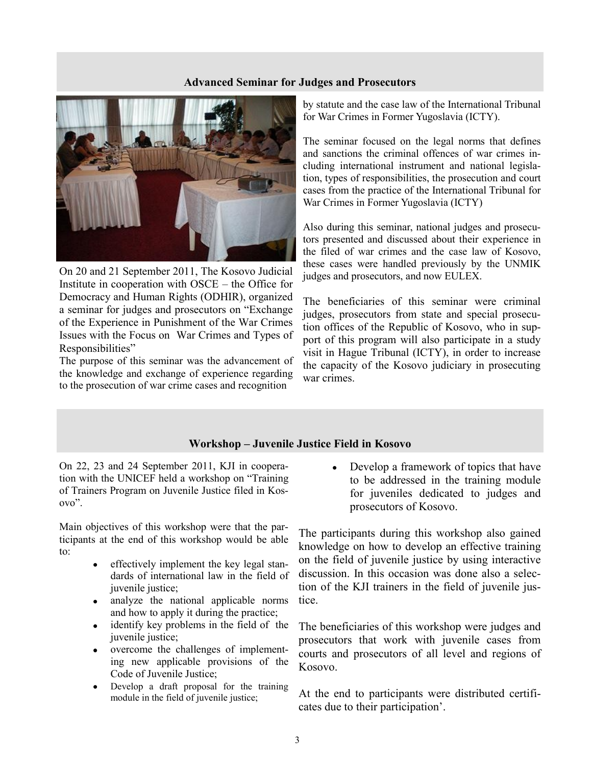#### **Advanced Seminar for Judges and Prosecutors**



On 20 and 21 September 2011, The Kosovo Judicial Institute in cooperation with OSCE – the Office for Democracy and Human Rights (ODHIR), organized a seminar for judges and prosecutors on "Exchange of the Experience in Punishment of the War Crimes Issues with the Focus on War Crimes and Types of Responsibilities"

The purpose of this seminar was the advancement of the knowledge and exchange of experience regarding to the prosecution of war crime cases and recognition

by statute and the case law of the International Tribunal for War Crimes in Former Yugoslavia (ICTY).

The seminar focused on the legal norms that defines and sanctions the criminal offences of war crimes including international instrument and national legislation, types of responsibilities, the prosecution and court cases from the practice of the International Tribunal for War Crimes in Former Yugoslavia (ICTY)

Also during this seminar, national judges and prosecutors presented and discussed about their experience in the filed of war crimes and the case law of Kosovo, these cases were handled previously by the UNMIK judges and prosecutors, and now EULEX.

The beneficiaries of this seminar were criminal judges, prosecutors from state and special prosecution offices of the Republic of Kosovo, who in support of this program will also participate in a study visit in Hague Tribunal (ICTY), in order to increase the capacity of the Kosovo judiciary in prosecuting war crimes.

#### **Workshop – Juvenile Justice Field in Kosovo**

On 22, 23 and 24 September 2011, KJI in cooperation with the UNICEF held a workshop on "Training of Trainers Program on Juvenile Justice filed in Kosovo".

Main objectives of this workshop were that the participants at the end of this workshop would be able to:

- effectively implement the key legal standards of international law in the field of juvenile justice;
- analyze the national applicable norms and how to apply it during the practice;
- identify key problems in the field of the  $\bullet$ juvenile justice;
- overcome the challenges of implement- $\bullet$ ing new applicable provisions of the Code of Juvenile Justice;
- Develop a draft proposal for the training module in the field of juvenile justice;

Develop a framework of topics that have to be addressed in the training module for juveniles dedicated to judges and prosecutors of Kosovo.

The participants during this workshop also gained knowledge on how to develop an effective training on the field of juvenile justice by using interactive discussion. In this occasion was done also a selection of the KJI trainers in the field of juvenile justice.

The beneficiaries of this workshop were judges and prosecutors that work with juvenile cases from courts and prosecutors of all level and regions of Kosovo.

At the end to participants were distributed certificates due to their participation'.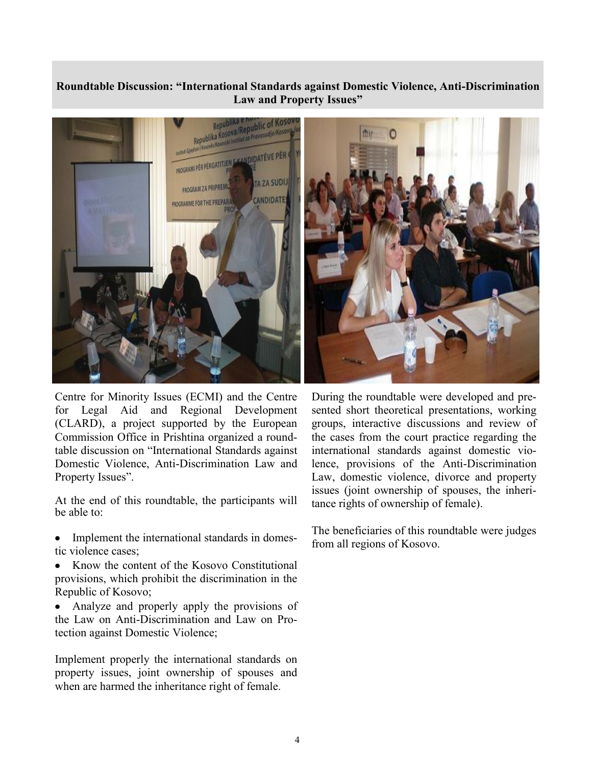## **Roundtable Discussion: "International Standards against Domestic Violence, Anti-Discrimination Law and Property Issues"**



Centre for Minority Issues (ECMI) and the Centre for Legal Aid and Regional Development (CLARD), a project supported by the European Commission Office in Prishtina organized a roundtable discussion on "International Standards against Domestic Violence, Anti-Discrimination Law and Property Issues".

At the end of this roundtable, the participants will be able to:

- Implement the international standards in domes- $\bullet$ tic violence cases;
- Know the content of the Kosovo Constitutional  $\bullet$ provisions, which prohibit the discrimination in the Republic of Kosovo;
- Analyze and properly apply the provisions of the Law on Anti-Discrimination and Law on Protection against Domestic Violence;

Implement properly the international standards on property issues, joint ownership of spouses and when are harmed the inheritance right of female.



During the roundtable were developed and presented short theoretical presentations, working groups, interactive discussions and review of the cases from the court practice regarding the international standards against domestic violence, provisions of the Anti-Discrimination Law, domestic violence, divorce and property issues (joint ownership of spouses, the inheritance rights of ownership of female).

The beneficiaries of this roundtable were judges from all regions of Kosovo.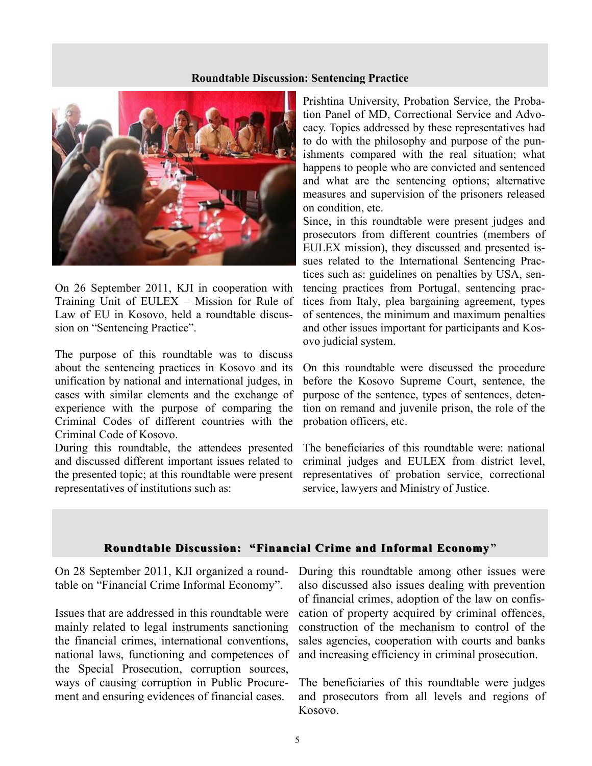#### **Roundtable Discussion: Sentencing Practice**



On 26 September 2011, KJI in cooperation with Training Unit of EULEX – Mission for Rule of Law of EU in Kosovo, held a roundtable discussion on "Sentencing Practice".

The purpose of this roundtable was to discuss about the sentencing practices in Kosovo and its unification by national and international judges, in cases with similar elements and the exchange of experience with the purpose of comparing the Criminal Codes of different countries with the Criminal Code of Kosovo.

During this roundtable, the attendees presented and discussed different important issues related to the presented topic; at this roundtable were present representatives of institutions such as:

Prishtina University, Probation Service, the Probation Panel of MD, Correctional Service and Advocacy. Topics addressed by these representatives had to do with the philosophy and purpose of the punishments compared with the real situation; what happens to people who are convicted and sentenced and what are the sentencing options; alternative measures and supervision of the prisoners released on condition, etc.

Since, in this roundtable were present judges and prosecutors from different countries (members of EULEX mission), they discussed and presented issues related to the International Sentencing Practices such as: guidelines on penalties by USA, sentencing practices from Portugal, sentencing practices from Italy, plea bargaining agreement, types of sentences, the minimum and maximum penalties and other issues important for participants and Kosovo judicial system.

On this roundtable were discussed the procedure before the Kosovo Supreme Court, sentence, the purpose of the sentence, types of sentences, detention on remand and juvenile prison, the role of the probation officers, etc.

The beneficiaries of this roundtable were: national criminal judges and EULEX from district level, representatives of probation service, correctional service, lawyers and Ministry of Justice.

#### **Roundtable Discussion: "Financial Crime and Informal Economy"**

On 28 September 2011, KJI organized a roundtable on "Financial Crime Informal Economy".

Issues that are addressed in this roundtable were mainly related to legal instruments sanctioning the financial crimes, international conventions, national laws, functioning and competences of the Special Prosecution, corruption sources, ways of causing corruption in Public Procurement and ensuring evidences of financial cases.

During this roundtable among other issues were also discussed also issues dealing with prevention of financial crimes, adoption of the law on confiscation of property acquired by criminal offences, construction of the mechanism to control of the sales agencies, cooperation with courts and banks and increasing efficiency in criminal prosecution.

The beneficiaries of this roundtable were judges and prosecutors from all levels and regions of Kosovo.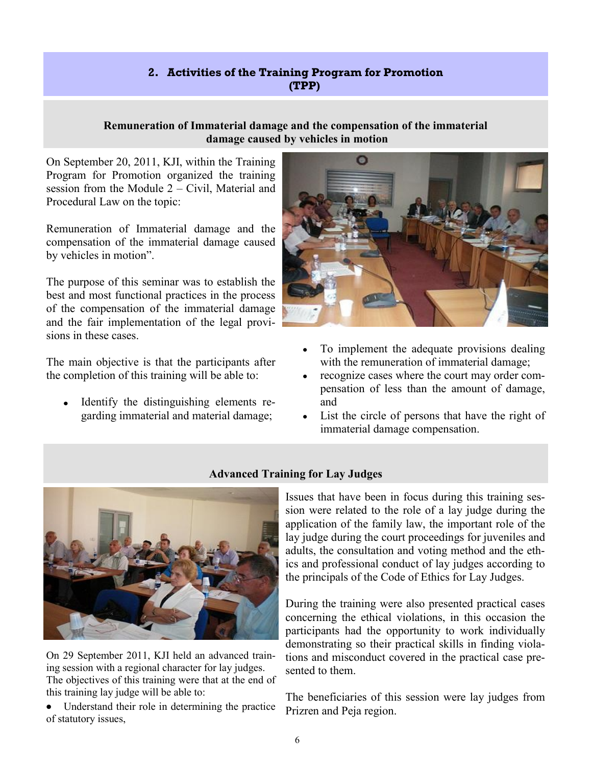# **2. Activities of the Training Program for Promotion (TPP)**

### **Remuneration of Immaterial damage and the compensation of the immaterial damage caused by vehicles in motion**

On September 20, 2011, KJI, within the Training Program for Promotion organized the training session from the Module 2 – Civil, Material and Procedural Law on the topic:

Remuneration of Immaterial damage and the compensation of the immaterial damage caused by vehicles in motion".

The purpose of this seminar was to establish the best and most functional practices in the process of the compensation of the immaterial damage and the fair implementation of the legal provisions in these cases.

The main objective is that the participants after the completion of this training will be able to:

Identify the distinguishing elements regarding immaterial and material damage;



- To implement the adequate provisions dealing  $\bullet$ with the remuneration of immaterial damage;
- recognize cases where the court may order com- $\bullet$ pensation of less than the amount of damage, and
- List the circle of persons that have the right of immaterial damage compensation.



On 29 September 2011, KJI held an advanced training session with a regional character for lay judges. The objectives of this training were that at the end of this training lay judge will be able to:

Understand their role in determining the practice of statutory issues,

# **Advanced Training for Lay Judges**

Issues that have been in focus during this training session were related to the role of a lay judge during the application of the family law, the important role of the lay judge during the court proceedings for juveniles and adults, the consultation and voting method and the ethics and professional conduct of lay judges according to the principals of the Code of Ethics for Lay Judges.

During the training were also presented practical cases concerning the ethical violations, in this occasion the participants had the opportunity to work individually demonstrating so their practical skills in finding violations and misconduct covered in the practical case presented to them.

The beneficiaries of this session were lay judges from Prizren and Peja region.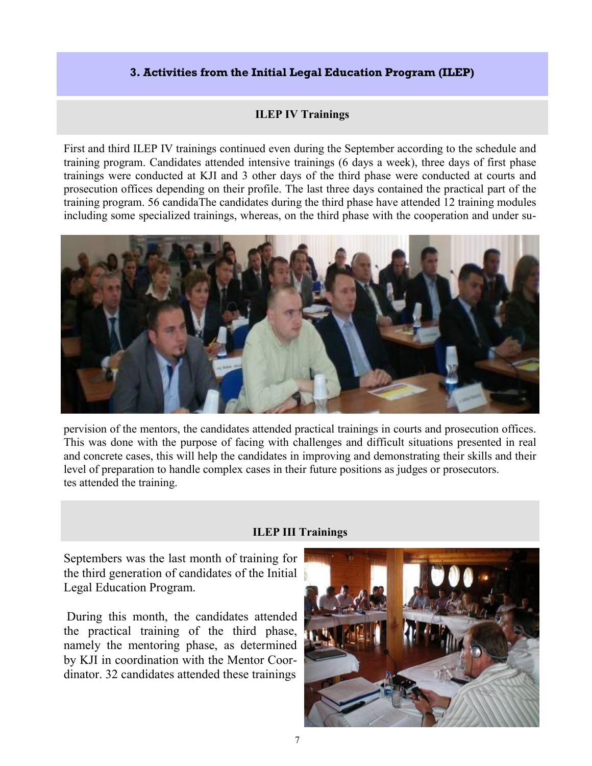# **3. Activities from the Initial Legal Education Program (ILEP)**

# **ILEP IV Trainings**

First and third ILEP IV trainings continued even during the September according to the schedule and training program. Candidates attended intensive trainings (6 days a week), three days of first phase trainings were conducted at KJI and 3 other days of the third phase were conducted at courts and prosecution offices depending on their profile. The last three days contained the practical part of the training program. 56 candidaThe candidates during the third phase have attended 12 training modules including some specialized trainings, whereas, on the third phase with the cooperation and under su-



pervision of the mentors, the candidates attended practical trainings in courts and prosecution offices. This was done with the purpose of facing with challenges and difficult situations presented in real and concrete cases, this will help the candidates in improving and demonstrating their skills and their level of preparation to handle complex cases in their future positions as judges or prosecutors. tes attended the training.

# **ILEP III Trainings**

Septembers was the last month of training for the third generation of candidates of the Initial Legal Education Program.

During this month, the candidates attended the practical training of the third phase, namely the mentoring phase, as determined by KJI in coordination with the Mentor Coordinator. 32 candidates attended these trainings

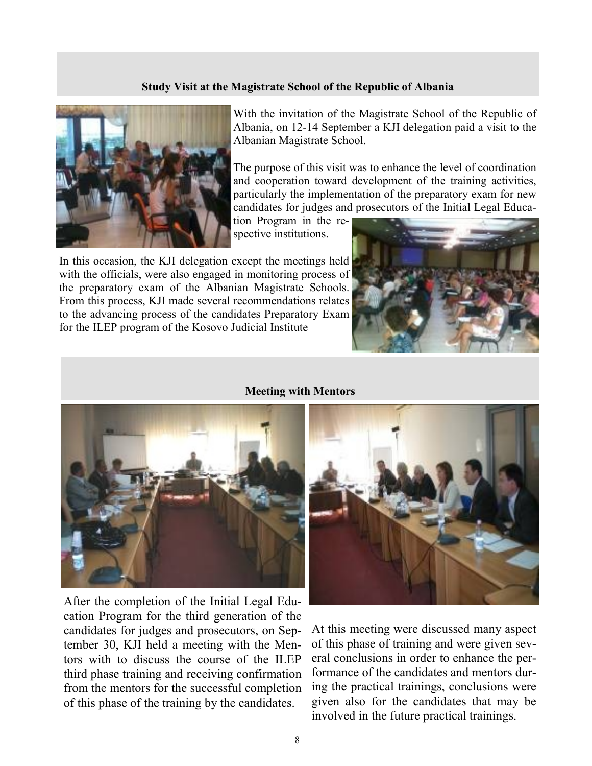#### **Study Visit at the Magistrate School of the Republic of Albania**



With the invitation of the Magistrate School of the Republic of Albania, on 12-14 September a KJI delegation paid a visit to the Albanian Magistrate School.

The purpose of this visit was to enhance the level of coordination and cooperation toward development of the training activities, particularly the implementation of the preparatory exam for new candidates for judges and prosecutors of the Initial Legal Educa-

tion Program in the respective institutions.

In this occasion, the KJI delegation except the meetings held with the officials, were also engaged in monitoring process of the preparatory exam of the Albanian Magistrate Schools. From this process, KJI made several recommendations relates to the advancing process of the candidates Preparatory Exam for the ILEP program of the Kosovo Judicial Institute



#### **Meeting with Mentors**



After the completion of the Initial Legal Education Program for the third generation of the candidates for judges and prosecutors, on September 30, KJI held a meeting with the Mentors with to discuss the course of the ILEP third phase training and receiving confirmation from the mentors for the successful completion of this phase of the training by the candidates.



At this meeting were discussed many aspect of this phase of training and were given several conclusions in order to enhance the performance of the candidates and mentors during the practical trainings, conclusions were given also for the candidates that may be involved in the future practical trainings.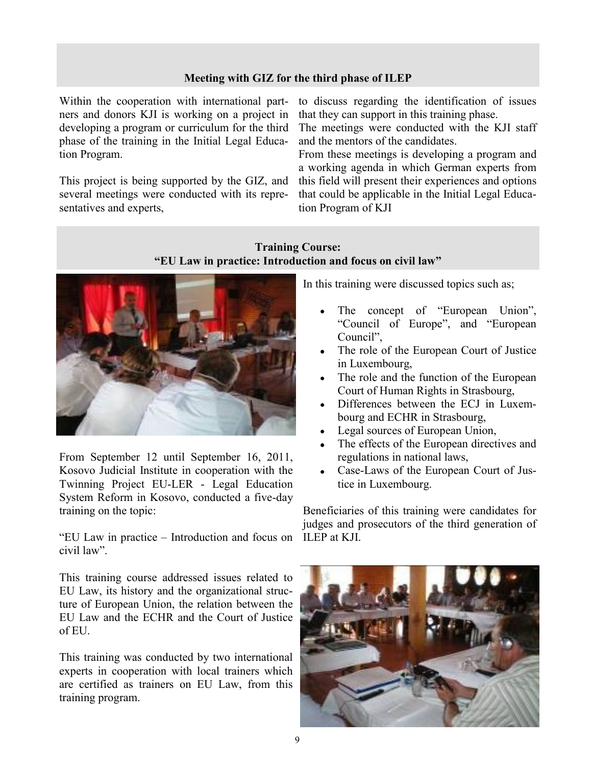#### **Meeting with GIZ for the third phase of ILEP**

Within the cooperation with international partners and donors KJI is working on a project in developing a program or curriculum for the third phase of the training in the Initial Legal Education Program.

This project is being supported by the GIZ, and several meetings were conducted with its representatives and experts,

to discuss regarding the identification of issues that they can support in this training phase.

The meetings were conducted with the KJI staff and the mentors of the candidates.

From these meetings is developing a program and a working agenda in which German experts from this field will present their experiences and options that could be applicable in the Initial Legal Education Program of KJI

# **Training Course: "EU Law in practice: Introduction and focus on civil law"**



From September 12 until September 16, 2011, Kosovo Judicial Institute in cooperation with the Twinning Project EU-LER - Legal Education System Reform in Kosovo, conducted a five-day training on the topic:

"EU Law in practice – Introduction and focus on ILEP at KJI. civil law".

This training course addressed issues related to EU Law, its history and the organizational structure of European Union, the relation between the EU Law and the ECHR and the Court of Justice of EU.

This training was conducted by two international experts in cooperation with local trainers which are certified as trainers on EU Law, from this training program.

In this training were discussed topics such as;

- The concept of "European Union", "Council of Europe", and "European Council",
- The role of the European Court of Justice in Luxembourg,
- The role and the function of the European Court of Human Rights in Strasbourg,
- Differences between the ECJ in Luxembourg and ECHR in Strasbourg,
- Legal sources of European Union,
- The effects of the European directives and regulations in national laws,
- Case-Laws of the European Court of Justice in Luxembourg.

Beneficiaries of this training were candidates for judges and prosecutors of the third generation of

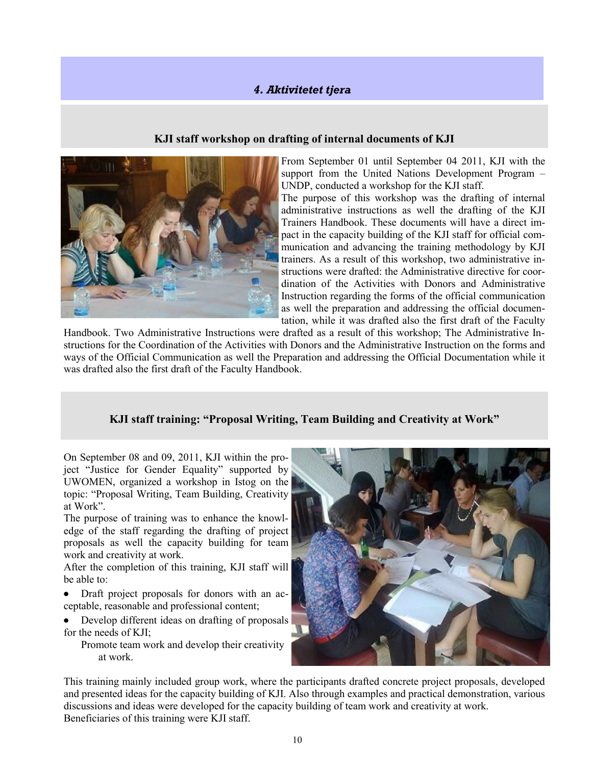# *4. Aktivitetet tjera*

#### **KJI staff workshop on drafting of internal documents of KJI**



From September 01 until September 04 2011, KJI with the support from the United Nations Development Program – UNDP, conducted a workshop for the KJI staff.

The purpose of this workshop was the drafting of internal administrative instructions as well the drafting of the KJI Trainers Handbook. These documents will have a direct impact in the capacity building of the KJI staff for official communication and advancing the training methodology by KJI trainers. As a result of this workshop, two administrative instructions were drafted: the Administrative directive for coordination of the Activities with Donors and Administrative Instruction regarding the forms of the official communication as well the preparation and addressing the official documentation, while it was drafted also the first draft of the Faculty

Handbook. Two Administrative Instructions were drafted as a result of this workshop; The Administrative Instructions for the Coordination of the Activities with Donors and the Administrative Instruction on the forms and ways of the Official Communication as well the Preparation and addressing the Official Documentation while it was drafted also the first draft of the Faculty Handbook.

#### **KJI staff training: "Proposal Writing, Team Building and Creativity at Work"**

On September 08 and 09, 2011, KJI within the project "Justice for Gender Equality" supported by UWOMEN, organized a workshop in Istog on the topic: "Proposal Writing, Team Building, Creativity at Work".

The purpose of training was to enhance the knowledge of the staff regarding the drafting of project proposals as well the capacity building for team work and creativity at work.

After the completion of this training, KJI staff will be able to:

 $\bullet$ Draft project proposals for donors with an acceptable, reasonable and professional content;

Develop different ideas on drafting of proposals  $\bullet$ for the needs of KJI;

Promote team work and develop their creativity at work.



This training mainly included group work, where the participants drafted concrete project proposals, developed and presented ideas for the capacity building of KJI. Also through examples and practical demonstration, various discussions and ideas were developed for the capacity building of team work and creativity at work. Beneficiaries of this training were KJI staff.